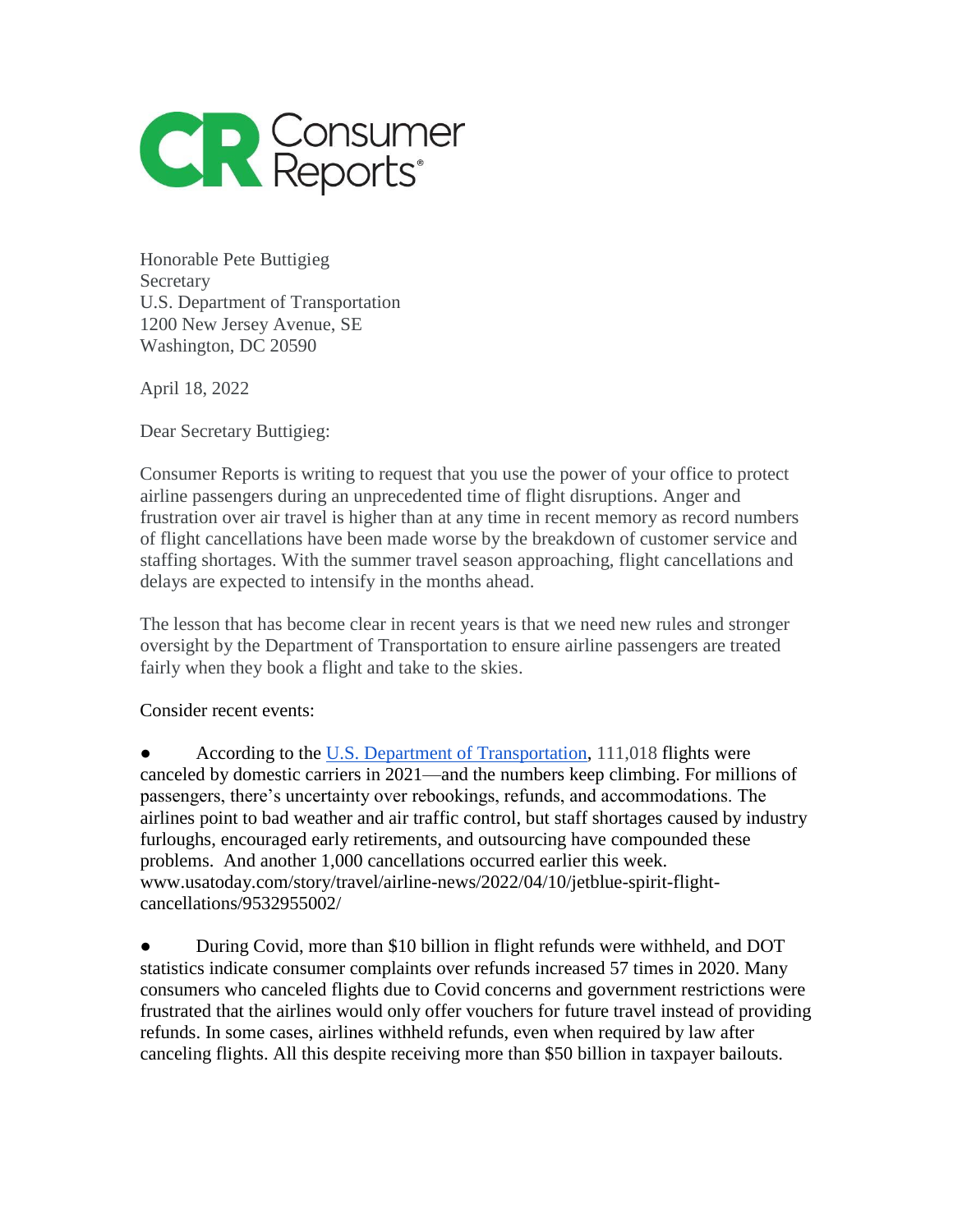

Honorable Pete Buttigieg **Secretary** U.S. Department of Transportation 1200 New Jersey Avenue, SE Washington, DC 20590

April 18, 2022

Dear Secretary Buttigieg:

Consumer Reports is writing to request that you use the power of your office to protect airline passengers during an unprecedented time of flight disruptions. Anger and frustration over air travel is higher than at any time in recent memory as record numbers of flight cancellations have been made worse by the breakdown of customer service and staffing shortages. With the summer travel season approaching, flight cancellations and delays are expected to intensify in the months ahead.

The lesson that has become clear in recent years is that we need new rules and stronger oversight by the Department of Transportation to ensure airline passengers are treated fairly when they book a flight and take to the skies.

Consider recent events:

According to the [U.S. Department of Transportation,](http://www.transportation.gov/individuals/aviation-consumer-protection/air-travel-consumer-reports) 111,018 flights were canceled by domestic carriers in 2021—and the numbers keep climbing. For millions of passengers, there's uncertainty over rebookings, refunds, and accommodations. The airlines point to bad weather and air traffic control, but staff shortages caused by industry furloughs, encouraged early retirements, and outsourcing have compounded these problems. And another 1,000 cancellations occurred earlier this week. www.usatoday.com/story/travel/airline-news/2022/04/10/jetblue-spirit-flightcancellations/9532955002/

During Covid, more than \$10 billion in flight refunds were withheld, and DOT statistics indicate consumer complaints over refunds increased 57 times in 2020. Many consumers who canceled flights due to Covid concerns and government restrictions were frustrated that the airlines would only offer vouchers for future travel instead of providing refunds. In some cases, airlines withheld refunds, even when required by law after canceling flights. All this despite receiving more than \$50 billion in taxpayer bailouts.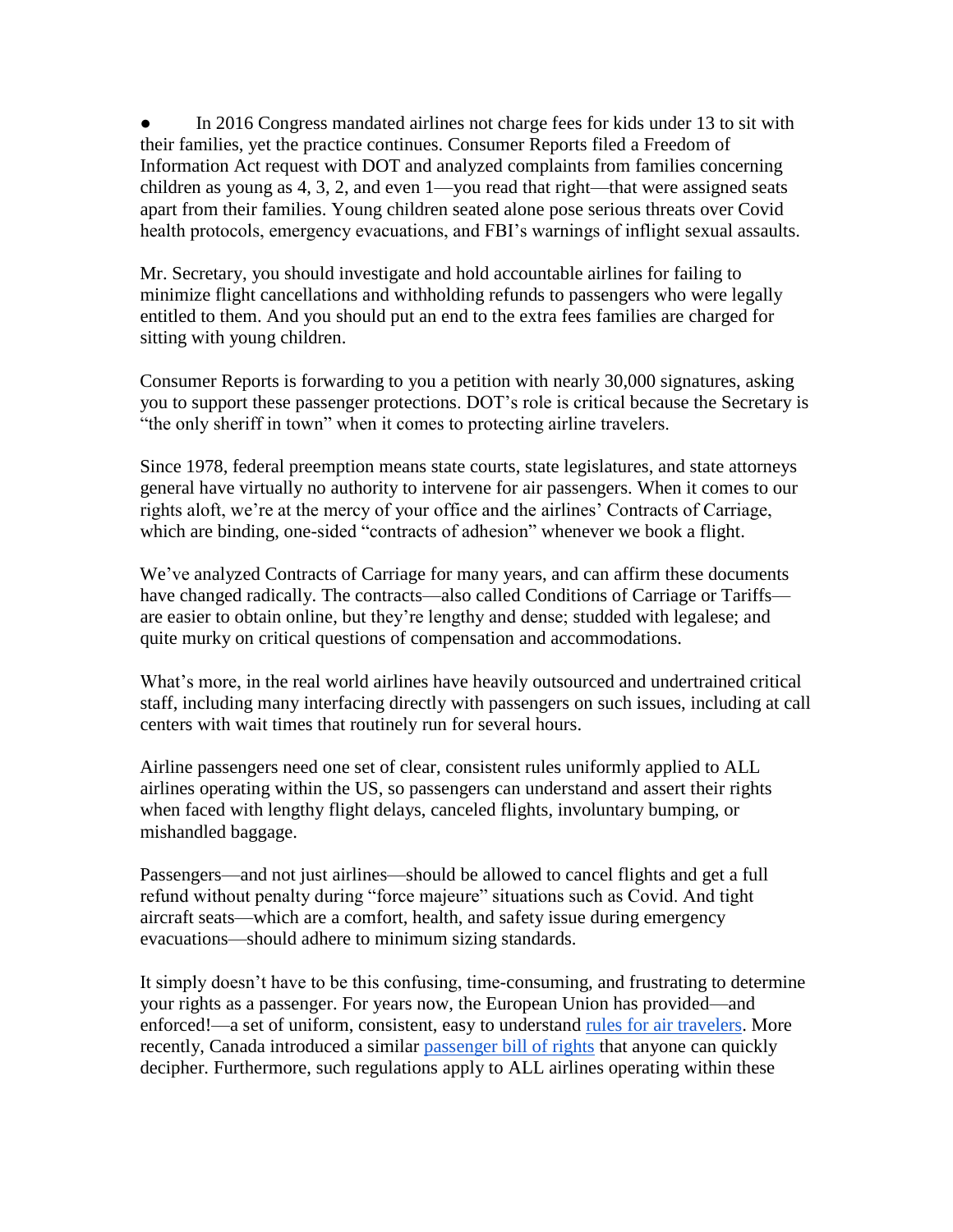In 2016 Congress mandated airlines not charge fees for kids under 13 to sit with their families, yet the practice continues. Consumer Reports filed a Freedom of Information Act request with DOT and analyzed complaints from families concerning children as young as 4, 3, 2, and even 1—you read that right—that were assigned seats apart from their families. Young children seated alone pose serious threats over Covid health protocols, emergency evacuations, and FBI's warnings of inflight sexual assaults.

Mr. Secretary, you should investigate and hold accountable airlines for failing to minimize flight cancellations and withholding refunds to passengers who were legally entitled to them. And you should put an end to the extra fees families are charged for sitting with young children.

Consumer Reports is forwarding to you a petition with nearly 30,000 signatures, asking you to support these passenger protections. DOT's role is critical because the Secretary is "the only sheriff in town" when it comes to protecting airline travelers.

Since 1978, federal preemption means state courts, state legislatures, and state attorneys general have virtually no authority to intervene for air passengers. When it comes to our rights aloft, we're at the mercy of your office and the airlines' Contracts of Carriage, which are binding, one-sided "contracts of adhesion" whenever we book a flight.

We've analyzed Contracts of Carriage for many years, and can affirm these documents have changed radically. The contracts—also called Conditions of Carriage or Tariffs are easier to obtain online, but they're lengthy and dense; studded with legalese; and quite murky on critical questions of compensation and accommodations.

What's more, in the real world airlines have heavily outsourced and undertrained critical staff, including many interfacing directly with passengers on such issues, including at call centers with wait times that routinely run for several hours.

Airline passengers need one set of clear, consistent rules uniformly applied to ALL airlines operating within the US, so passengers can understand and assert their rights when faced with lengthy flight delays, canceled flights, involuntary bumping, or mishandled baggage.

Passengers—and not just airlines—should be allowed to cancel flights and get a full refund without penalty during "force majeure" situations such as Covid. And tight aircraft seats—which are a comfort, health, and safety issue during emergency evacuations—should adhere to minimum sizing standards.

It simply doesn't have to be this confusing, time-consuming, and frustrating to determine your rights as a passenger. For years now, the European Union has provided—and enforced!—a set of uniform, consistent, easy to understand [rules for air travelers.](http://europa.eu/youreurope/citizens/travel/passenger-rights/index_en.htm) More recently, Canada introduced a similar [passenger bill of rights](http://otc-cta.gc.ca/eng/air-passenger-protection-regulations-highlights) that anyone can quickly decipher. Furthermore, such regulations apply to ALL airlines operating within these